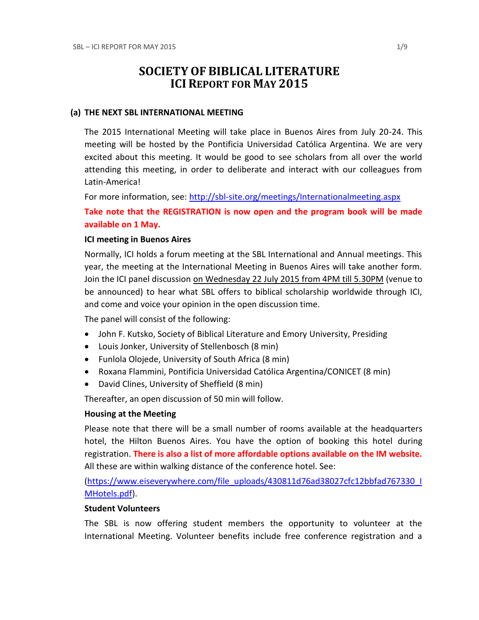# **SOCIETY OF BIBLICAL LITERATURE ICI REPORT FOR MAY 2015**

#### **(a) THE NEXT SBL INTERNATIONAL MEETING**

The 2015 International Meeting will take place in Buenos Aires from July 20-24. This meeting will be hosted by the Pontificia Universidad Católica Argentina. We are very excited about this meeting. It would be good to see scholars from all over the world attending this meeting, in order to deliberate and interact with our colleagues from Latin-America!

For more information, see:<http://sbl-site.org/meetings/Internationalmeeting.aspx>

**Take note that the REGISTRATION is now open and the program book will be made available on 1 May.**

#### **ICI meeting in Buenos Aires**

Normally, ICI holds a forum meeting at the SBL International and Annual meetings. This year, the meeting at the International Meeting in Buenos Aires will take another form. Join the ICI panel discussion on Wednesday 22 July 2015 from 4PM till 5.30PM (venue to be announced) to hear what SBL offers to biblical scholarship worldwide through ICI, and come and voice your opinion in the open discussion time.

The panel will consist of the following:

- John F. Kutsko, Society of Biblical Literature and Emory University, Presiding
- Louis Jonker, University of Stellenbosch (8 min)
- Funlola Olojede, University of South Africa (8 min)
- Roxana Flammini, Pontificia Universidad Católica Argentina/CONICET (8 min)
- David Clines, University of Sheffield (8 min)

Thereafter, an open discussion of 50 min will follow.

#### **Housing at the Meeting**

Please note that there will be a small number of rooms available at the headquarters hotel, the Hilton Buenos Aires. You have the option of booking this hotel during registration. **There is also a list of more affordable options available on the IM website.** All these are within walking distance of the conference hotel. See:

[\(https://www.eiseverywhere.com/file\\_uploads/430811d76ad38027cfc12bbfad767330\\_I](https://www.eiseverywhere.com/file_uploads/430811d76ad38027cfc12bbfad767330_IMHotels.pdf) [MHotels.pdf\)](https://www.eiseverywhere.com/file_uploads/430811d76ad38027cfc12bbfad767330_IMHotels.pdf).

### **Student Volunteers**

The SBL is now offering student members the opportunity to volunteer at the International Meeting. Volunteer benefits include free conference registration and a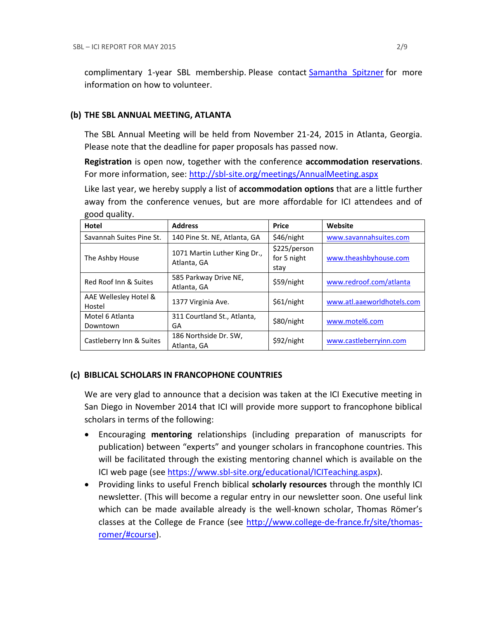complimentary 1-year SBL membership. Please contact [Samantha Spitzner](mailto:Samantha.Spitzner@sbl-site.org) for more information on how to volunteer.

## **(b) THE SBL ANNUAL MEETING, ATLANTA**

The SBL Annual Meeting will be held from November 21-24, 2015 in Atlanta, Georgia. Please note that the deadline for paper proposals has passed now.

**Registration** is open now, together with the conference **accommodation reservations**. For more information, see: <http://sbl-site.org/meetings/AnnualMeeting.aspx>

Like last year, we hereby supply a list of **accommodation options** that are a little further away from the conference venues, but are more affordable for ICI attendees and of good quality.

| ັ<br>Hotel                      | <b>Address</b>                              | <b>Price</b>                        | Website                    |
|---------------------------------|---------------------------------------------|-------------------------------------|----------------------------|
| Savannah Suites Pine St.        | 140 Pine St. NE, Atlanta, GA                | \$46/night                          | www.savannahsuites.com     |
| The Ashby House                 | 1071 Martin Luther King Dr.,<br>Atlanta, GA | \$225/person<br>for 5 night<br>stay | www.theashbyhouse.com      |
| Red Roof Inn & Suites           | 585 Parkway Drive NE,<br>Atlanta, GA        | \$59/night                          | www.redroof.com/atlanta    |
| AAE Wellesley Hotel &<br>Hostel | 1377 Virginia Ave.                          | \$61/night                          | www.atl.aaeworldhotels.com |
| Motel 6 Atlanta<br>Downtown     | 311 Courtland St., Atlanta,<br>GA           | \$80/night                          | www.motel6.com             |
| Castleberry Inn & Suites        | 186 Northside Dr. SW,<br>Atlanta, GA        | \$92/night                          | www.castleberryinn.com     |

## **(c) BIBLICAL SCHOLARS IN FRANCOPHONE COUNTRIES**

We are very glad to announce that a decision was taken at the ICI Executive meeting in San Diego in November 2014 that ICI will provide more support to francophone biblical scholars in terms of the following:

- Encouraging **mentoring** relationships (including preparation of manuscripts for publication) between "experts" and younger scholars in francophone countries. This will be facilitated through the existing mentoring channel which is available on the ICI web page (see [https://www.sbl-site.org/educational/ICITeaching.aspx\)](https://www.sbl-site.org/educational/ICITeaching.aspx).
- Providing links to useful French biblical **scholarly resources** through the monthly ICI newsletter. (This will become a regular entry in our newsletter soon. One useful link which can be made available already is the well-known scholar, Thomas Römer's classes at the College de France (see [http://www.college-de-france.fr/site/thomas](http://www.college-de-france.fr/site/thomas-romer/#course)[romer/#course\)](http://www.college-de-france.fr/site/thomas-romer/#course).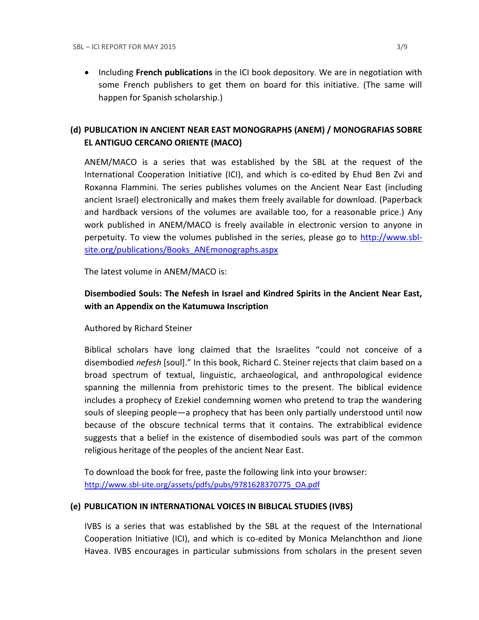**•** Including French publications in the ICI book depository. We are in negotiation with some French publishers to get them on board for this initiative. (The same will happen for Spanish scholarship.)

## **(d) PUBLICATION IN [ANCIENT NEAR EAST MONOGRAPHS](http://www.sbl-site.org/publications/Books_ANEmonographs.aspx) (ANEM) / [MONOGRAFIAS SOBRE](http://www.uca.edu.ar/index.php/site/index/en/universidad/facultades/buenos-aires/cs-sociales-politicas-y-de-la-comunicacion/investigacion/cehao/monografias_aco/)  [EL ANTIGUO CERCANO ORIENTE](http://www.uca.edu.ar/index.php/site/index/en/universidad/facultades/buenos-aires/cs-sociales-politicas-y-de-la-comunicacion/investigacion/cehao/monografias_aco/) (MACO)**

ANEM/MACO is a series that was established by the SBL at the request of the International Cooperation Initiative (ICI), and which is co-edited by Ehud Ben Zvi and Roxanna Flammini. The series publishes volumes on the Ancient Near East (including ancient Israel) electronically and makes them freely available for download. (Paperback and hardback versions of the volumes are available too, for a reasonable price.) Any work published in ANEM/MACO is freely available in electronic version to anyone in perpetuity. To view the volumes published in the series, please go to [http://www.sbl](http://www.sbl-site.org/publications/Books_ANEmonographs.aspx)[site.org/publications/Books\\_ANEmonographs.aspx](http://www.sbl-site.org/publications/Books_ANEmonographs.aspx)

The latest volume in ANEM/MACO is:

## **Disembodied Souls: The Nefesh in Israel and Kindred Spirits in the Ancient Near East, with an Appendix on the Katumuwa Inscription**

Authored by Richard Steiner

Biblical scholars have long claimed that the Israelites "could not conceive of a disembodied *nefesh* [soul]." In this book, Richard C. Steiner rejects that claim based on a broad spectrum of textual, linguistic, archaeological, and anthropological evidence spanning the millennia from prehistoric times to the present. The biblical evidence includes a prophecy of Ezekiel condemning women who pretend to trap the wandering souls of sleeping people—a prophecy that has been only partially understood until now because of the obscure technical terms that it contains. The extrabiblical evidence suggests that a belief in the existence of disembodied souls was part of the common religious heritage of the peoples of the ancient Near East.

To download the book for free, paste the following link into your browser: http://www.sbl-site.org/assets/pdfs/pubs/9781628370775\_OA.pdf

## **(e) PUBLICATION IN INTERNATIONAL VOICES IN BIBLICAL STUDIES (IVBS)**

IVBS is a series that was established by the SBL at the request of the International Cooperation Initiative (ICI), and which is co-edited by Monica Melanchthon and Jione Havea. IVBS encourages in particular submissions from scholars in the present seven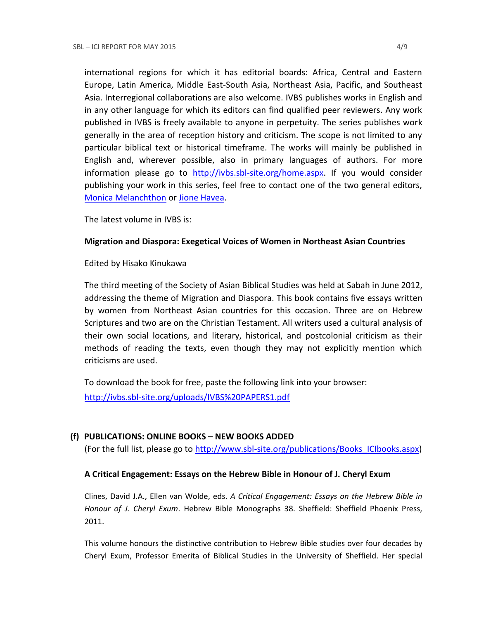international regions for which it has editorial boards: Africa, Central and Eastern Europe, Latin America, Middle East-South Asia, Northeast Asia, Pacific, and Southeast Asia. Interregional collaborations are also welcome. IVBS publishes works in English and in any other language for which its editors can find qualified peer reviewers. Any work published in IVBS is freely available to anyone in perpetuity. The series publishes work generally in the area of reception history and criticism. The scope is not limited to any particular biblical text or historical timeframe. The works will mainly be published in English and, wherever possible, also in primary languages of authors. For more information please go to [http://ivbs.sbl-site.org/home.aspx.](http://ivbs.sbl-site.org/home.aspx) If you would consider publishing your work in this series, feel free to contact one of the two general editors, [Monica Melanchthon](mailto:ivbs2010@gmail.com) or [Jione Havea.](mailto:jioneh@nsw.uca.org.au)

The latest volume in IVBS is:

#### **Migration and Diaspora: Exegetical Voices of Women in Northeast Asian Countries**

#### Edited by Hisako Kinukawa

The third meeting of the Society of Asian Biblical Studies was held at Sabah in June 2012, addressing the theme of Migration and Diaspora. This book contains five essays written by women from Northeast Asian countries for this occasion. Three are on Hebrew Scriptures and two are on the Christian Testament. All writers used a cultural analysis of their own social locations, and literary, historical, and postcolonial criticism as their methods of reading the texts, even though they may not explicitly mention which criticisms are used.

To download the book for free, paste the following link into your browser: <http://ivbs.sbl-site.org/uploads/IVBS%20PAPERS1.pdf>

## **(f) PUBLICATIONS: ONLINE BOOKS – NEW BOOKS ADDED**

(For the full list, please go to [http://www.sbl-site.org/publications/Books\\_ICIbooks.aspx\)](http://www.sbl-site.org/publications/Books_ICIbooks.aspx)

#### **A Critical Engagement: Essays on the Hebrew Bible in Honour of J. Cheryl Exum**

Clines, David J.A., Ellen van Wolde, eds. *A Critical Engagement: Essays on the Hebrew Bible in Honour of J. Cheryl Exum*. Hebrew Bible Monographs 38. Sheffield: Sheffield Phoenix Press, 2011.

This volume honours the distinctive contribution to Hebrew Bible studies over four decades by Cheryl Exum, Professor Emerita of Biblical Studies in the University of Sheffield. Her special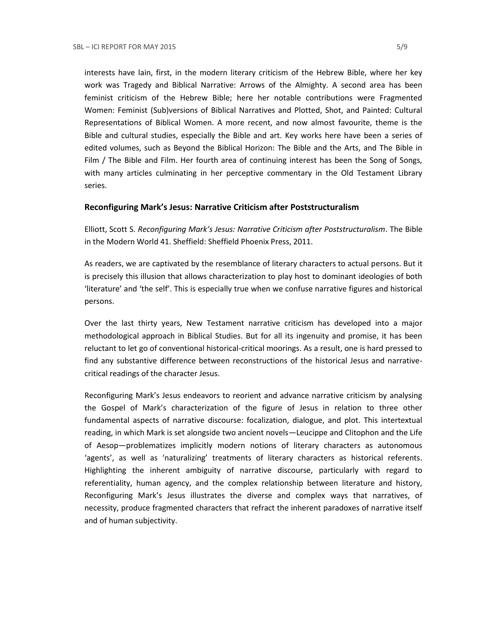interests have lain, first, in the modern literary criticism of the Hebrew Bible, where her key work was Tragedy and Biblical Narrative: Arrows of the Almighty. A second area has been feminist criticism of the Hebrew Bible; here her notable contributions were Fragmented Women: Feminist (Sub)versions of Biblical Narratives and Plotted, Shot, and Painted: Cultural Representations of Biblical Women. A more recent, and now almost favourite, theme is the Bible and cultural studies, especially the Bible and art. Key works here have been a series of edited volumes, such as Beyond the Biblical Horizon: The Bible and the Arts, and The Bible in Film / The Bible and Film. Her fourth area of continuing interest has been the Song of Songs, with many articles culminating in her perceptive commentary in the Old Testament Library series.

#### **Reconfiguring Mark's Jesus: Narrative Criticism after Poststructuralism**

Elliott, Scott S. *Reconfiguring Mark's Jesus: Narrative Criticism after Poststructuralism*. The Bible in the Modern World 41. Sheffield: Sheffield Phoenix Press, 2011.

As readers, we are captivated by the resemblance of literary characters to actual persons. But it is precisely this illusion that allows characterization to play host to dominant ideologies of both 'literature' and 'the self'. This is especially true when we confuse narrative figures and historical persons.

Over the last thirty years, New Testament narrative criticism has developed into a major methodological approach in Biblical Studies. But for all its ingenuity and promise, it has been reluctant to let go of conventional historical-critical moorings. As a result, one is hard pressed to find any substantive difference between reconstructions of the historical Jesus and narrativecritical readings of the character Jesus.

Reconfiguring Mark's Jesus endeavors to reorient and advance narrative criticism by analysing the Gospel of Mark's characterization of the figure of Jesus in relation to three other fundamental aspects of narrative discourse: focalization, dialogue, and plot. This intertextual reading, in which Mark is set alongside two ancient novels—Leucippe and Clitophon and the Life of Aesop—problematizes implicitly modern notions of literary characters as autonomous 'agents', as well as 'naturalizing' treatments of literary characters as historical referents. Highlighting the inherent ambiguity of narrative discourse, particularly with regard to referentiality, human agency, and the complex relationship between literature and history, Reconfiguring Mark's Jesus illustrates the diverse and complex ways that narratives, of necessity, produce fragmented characters that refract the inherent paradoxes of narrative itself and of human subjectivity.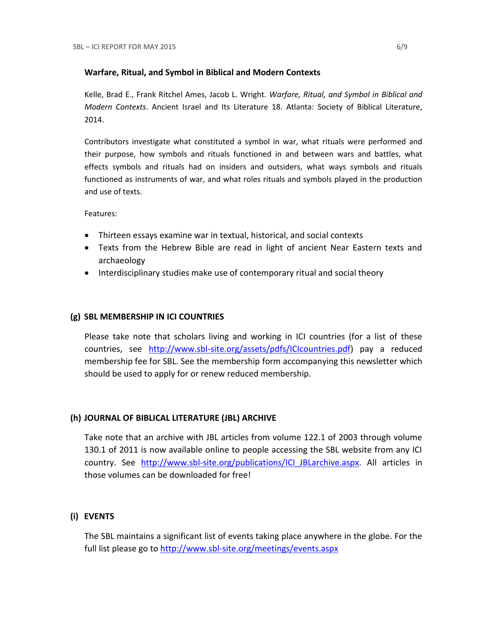#### **Warfare, Ritual, and Symbol in Biblical and Modern Contexts**

Kelle, Brad E., Frank Ritchel Ames, Jacob L. Wright. *Warfare, Ritual, and Symbol in Biblical and Modern Contexts*. Ancient Israel and Its Literature 18. Atlanta: Society of Biblical Literature, 2014.

Contributors investigate what constituted a symbol in war, what rituals were performed and their purpose, how symbols and rituals functioned in and between wars and battles, what effects symbols and rituals had on insiders and outsiders, what ways symbols and rituals functioned as instruments of war, and what roles rituals and symbols played in the production and use of texts.

Features:

- Thirteen essays examine war in textual, historical, and social contexts
- Texts from the Hebrew Bible are read in light of ancient Near Eastern texts and archaeology
- Interdisciplinary studies make use of contemporary ritual and social theory

#### **(g) SBL MEMBERSHIP IN ICI COUNTRIES**

Please take note that scholars living and working in ICI countries (for a list of these countries, see [http://www.sbl-site.org/assets/pdfs/ICIcountries.pdf\)](http://www.sbl-site.org/assets/pdfs/ICIcountries.pdf) pay a reduced membership fee for SBL. See the membership form accompanying this newsletter which should be used to apply for or renew reduced membership.

#### **(h) JOURNAL OF BIBLICAL LITERATURE (JBL) ARCHIVE**

Take note that an archive with JBL articles from volume 122.1 of 2003 through volume 130.1 of 2011 is now available online to people accessing the SBL website from any ICI country. See http://www.sbl-site.org/publications/ICI JBLarchive.aspx. All articles in those volumes can be downloaded for free!

## **(i) EVENTS**

The SBL maintains a significant list of events taking place anywhere in the globe. For the full list please go to<http://www.sbl-site.org/meetings/events.aspx>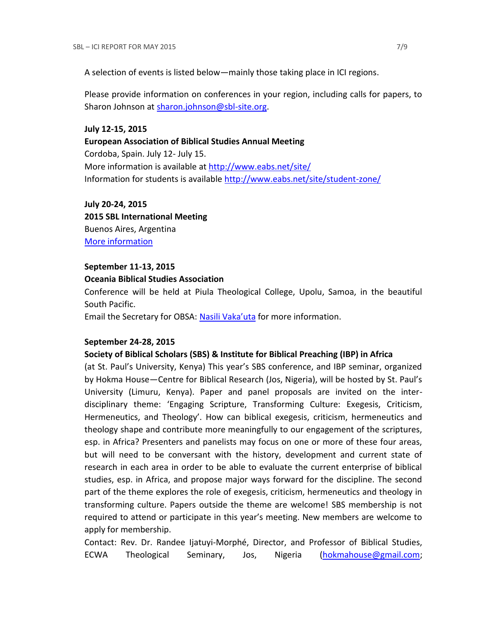A selection of events is listed below—mainly those taking place in ICI regions.

Please provide information on conferences in your region, including calls for papers, to Sharon Johnson at [sharon.johnson@sbl-site.org.](mailto:sharon.johnson@sbl-site.org)

#### **July 12-15, 2015**

#### **European Association of Biblical Studies Annual Meeting**

Cordoba, Spain. July 12- July 15. More information is available a[t http://www.eabs.net/site/](http://www.eabs.net/site/) Information for students is available <http://www.eabs.net/site/student-zone/>

**July 20-24, 2015 2015 SBL International Meeting** Buenos Aires, Argentina [More information](http://www.sbl-site.org/meetings/Internationalmeeting.aspx)

#### **September 11-13, 2015**

#### **Oceania Biblical Studies Association**

Conference will be held at Piula Theological College, Upolu, Samoa, in the beautiful South Pacific.

Email the Secretary for OBSA: [Nasili Vaka'uta](mailto:%20OBSAMail@gmail.com) for more information.

#### **September 24-28, 2015**

#### **Society of Biblical Scholars (SBS) & Institute for Biblical Preaching (IBP) in Africa**

(at St. Paul's University, Kenya) This year's SBS conference, and IBP seminar, organized by Hokma House—Centre for Biblical Research (Jos, Nigeria), will be hosted by St. Paul's University (Limuru, Kenya). Paper and panel proposals are invited on the interdisciplinary theme: 'Engaging Scripture, Transforming Culture: Exegesis, Criticism, Hermeneutics, and Theology'. How can biblical exegesis, criticism, hermeneutics and theology shape and contribute more meaningfully to our engagement of the scriptures, esp. in Africa? Presenters and panelists may focus on one or more of these four areas, but will need to be conversant with the history, development and current state of research in each area in order to be able to evaluate the current enterprise of biblical studies, esp. in Africa, and propose major ways forward for the discipline. The second part of the theme explores the role of exegesis, criticism, hermeneutics and theology in transforming culture. Papers outside the theme are welcome! SBS membership is not required to attend or participate in this year's meeting. New members are welcome to apply for membership.

Contact: Rev. Dr. Randee Ijatuyi-Morphé, Director, and Professor of Biblical Studies, ECWA Theological Seminary, Jos, Nigeria [\(hokmahouse@gmail.com;](mailto:hokmahouse@gmail.com)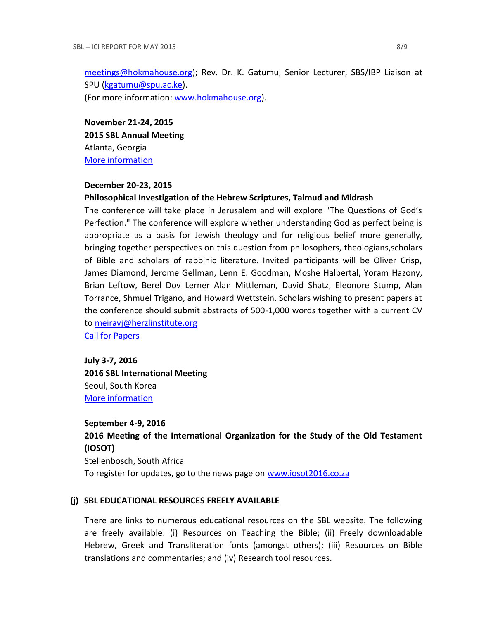[meetings@hokmahouse.org\)](mailto:meetings@hokmahouse.org); Rev. Dr. K. Gatumu, Senior Lecturer, SBS/IBP Liaison at SPU [\(kgatumu@spu.ac.ke\)](mailto:kgatumu@spu.ac.ke).

(For more information: [www.hokmahouse.org\)](http://www.hokmahouse.org/).

**November 21-24, 2015 2015 SBL Annual Meeting** Atlanta, Georgia [More information](http://sbl-site.org/meetings/Annualmeeting.aspx)

#### **December 20-23, 2015**

#### **Philosophical Investigation of the Hebrew Scriptures, Talmud and Midrash**

The conference will take place in Jerusalem and will explore "The Questions of God's Perfection." The conference will explore whether understanding God as perfect being is appropriate as a basis for Jewish theology and for religious belief more generally, bringing together perspectives on this question from philosophers, theologians,scholars of Bible and scholars of rabbinic literature. Invited participants will be Oliver Crisp, James Diamond, Jerome Gellman, Lenn E. Goodman, Moshe Halbertal, Yoram Hazony, Brian Leftow, Berel Dov Lerner Alan Mittleman, David Shatz, Eleonore Stump, Alan Torrance, Shmuel Trigano, and Howard Wettstein. Scholars wishing to present papers at the conference should submit abstracts of 500-1,000 words together with a current CV to [meiravj@herzlinstitute.org](mailto:meiravj@herzlinstitute.org)

[Call for Papers](http://bibleandphilosophy.org/wp-content/uploads/2014/02/2015-conference-announcement-v-4.pdf)

**July 3-7, 2016 2016 SBL International Meeting** Seoul, South Korea [More information](http://sbl-site.org/meetings/Internationalmeeting.aspx)

**September 4-9, 2016 2016 Meeting of the International Organization for the Study of the Old Testament (IOSOT)** Stellenbosch, South Africa To register for updates, go to the news page on [www.iosot2016.co.za](http://www.iosot2016.co.za/)

#### **(j) SBL EDUCATIONAL RESOURCES FREELY AVAILABLE**

There are links to numerous educational resources on the SBL website. The following are freely available: (i) Resources on Teaching the Bible; (ii) Freely downloadable Hebrew, Greek and Transliteration fonts (amongst others); (iii) Resources on Bible translations and commentaries; and (iv) Research tool resources.